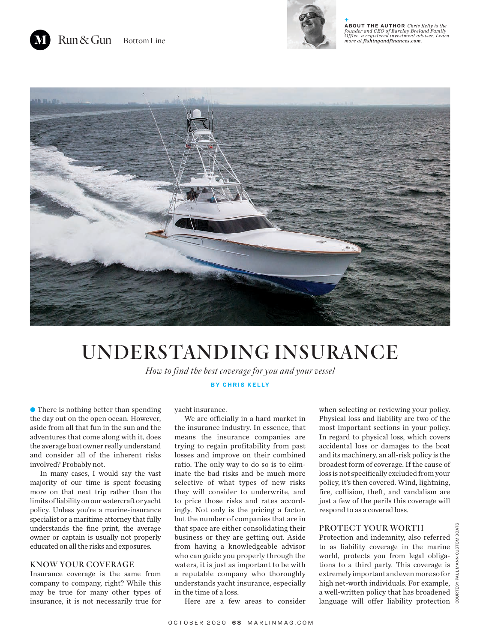Run & Gun | Bottom Line



**+ ABOUT THE AUTHOR** *Chris Kelly is the founder and CEO of Barclay Breland Family Office, a registered investment adviser. Learn more at fishingandfinances.com.*



## UNDERSTANDING INSURANCE

*How to find the best coverage for you and your vessel*

**BY CHRIS KELLY**

• There is nothing better than spending the day out on the open ocean. However, aside from all that fun in the sun and the adventures that come along with it, does the average boat owner really understand and consider all of the inherent risks involved? Probably not.

In many cases, I would say the vast majority of our time is spent focusing more on that next trip rather than the limits of liability on our watercraft or yacht policy. Unless you're a marine-insurance specialist or a maritime attorney that fully understands the fine print, the average owner or captain is usually not properly educated on all the risks and exposures.

## KNOW YOUR COVERAGE

Insurance coverage is the same from company to company, right? While this may be true for many other types of insurance, it is not necessarily true for

yacht insurance.

We are officially in a hard market in the insurance industry. In essence, that means the insurance companies are trying to regain profitability from past losses and improve on their combined ratio. The only way to do so is to eliminate the bad risks and be much more selective of what types of new risks they will consider to underwrite, and to price those risks and rates accordingly. Not only is the pricing a factor, but the number of companies that are in that space are either consolidating their business or they are getting out. Aside from having a knowledgeable advisor who can guide you properly through the waters, it is just as important to be with a reputable company who thoroughly understands yacht insurance, especially in the time of a loss.

when selecting or reviewing your policy. Physical loss and liability are two of the most important sections in your policy. In regard to physical loss, which covers accidental loss or damages to the boat and its machinery, an all-risk policy is the broadest form of coverage. If the cause of loss is not specifically excluded from your policy, it's then covered. Wind, lightning, fire, collision, theft, and vandalism are just a few of the perils this coverage will respond to as a covered loss.

## PROTECT YOUR WORTH

Protection and indemnity, also referred to as liability coverage in the marine world, protects you from legal obligations to a third party. This coverage is  $\frac{z}{5}$ extremely important and even more so for  $\frac{1}{2}$ high net-worth individuals. For example,  $\frac{1}{2}$ a well-written policy that has broadened language will offer liability protection  $\frac{8}{9}$ 

Here are a few areas to consider